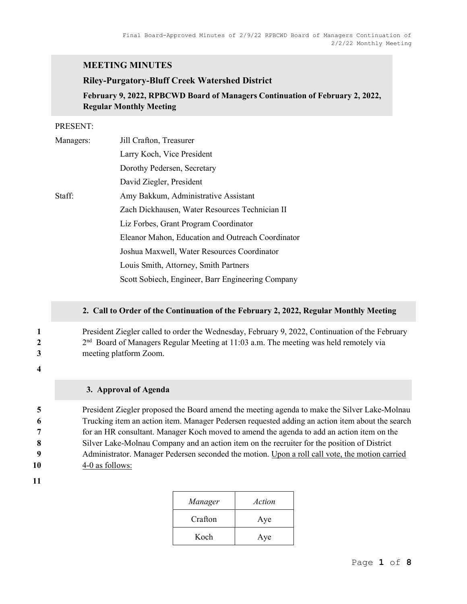## MEETING MINUTES

#### Riley-Purgatory-Bluff Creek Watershed District

February 9, 2022, RPBCWD Board of Managers Continuation of February 2, 2022, Regular Monthly Meeting

#### PRESENT:

| Managers: | Jill Crafton, Treasurer                           |
|-----------|---------------------------------------------------|
|           | Larry Koch, Vice President                        |
|           | Dorothy Pedersen, Secretary                       |
|           | David Ziegler, President                          |
| Staff:    | Amy Bakkum, Administrative Assistant              |
|           | Zach Dickhausen, Water Resources Technician II    |
|           | Liz Forbes, Grant Program Coordinator             |
|           | Eleanor Mahon, Education and Outreach Coordinator |
|           | Joshua Maxwell, Water Resources Coordinator       |
|           | Louis Smith, Attorney, Smith Partners             |
|           | Scott Sobiech, Engineer, Barr Engineering Company |

#### 2. Call to Order of the Continuation of the February 2, 2022, Regular Monthly Meeting

## 1 President Ziegler called to order the Wednesday, February 9, 2022, Continuation of the February  $2<sup>nd</sup>$  Board of Managers Regular Meeting at 11:03 a.m. The meeting was held remotely via 3 meeting platform Zoom.

4

## 3. Approval of Agenda

President Ziegler proposed the Board amend the meeting agenda to make the Silver Lake-Molnau Trucking item an action item. Manager Pedersen requested adding an action item about the search for an HR consultant. Manager Koch moved to amend the agenda to add an action item on the 8 Silver Lake-Molnau Company and an action item on the recruiter for the position of District Administrator. Manager Pedersen seconded the motion. Upon a roll call vote, the motion carried 4-0 as follows:

| Manager | Action |
|---------|--------|
| Crafton | Aye    |
| Koch    | Aye    |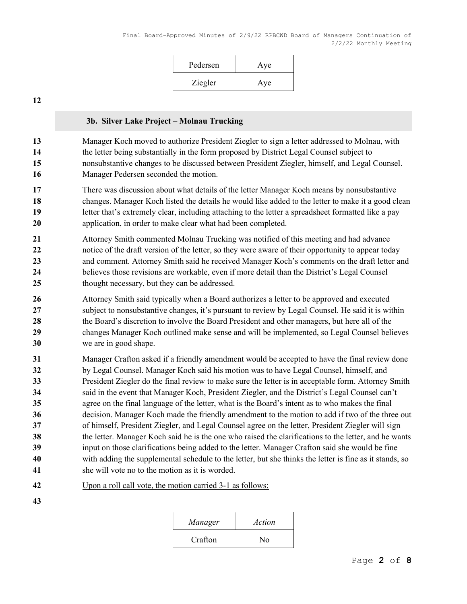| Pedersen | Aye |
|----------|-----|
| Ziegler  | Aye |

#### 3b. Silver Lake Project – Molnau Trucking

Manager Koch moved to authorize President Ziegler to sign a letter addressed to Molnau, with the letter being substantially in the form proposed by District Legal Counsel subject to nonsubstantive changes to be discussed between President Ziegler, himself, and Legal Counsel. Manager Pedersen seconded the motion.

- There was discussion about what details of the letter Manager Koch means by nonsubstantive changes. Manager Koch listed the details he would like added to the letter to make it a good clean letter that's extremely clear, including attaching to the letter a spreadsheet formatted like a pay 20 application, in order to make clear what had been completed.
- Attorney Smith commented Molnau Trucking was notified of this meeting and had advance 22 notice of the draft version of the letter, so they were aware of their opportunity to appear today 23 and comment. Attorney Smith said he received Manager Koch's comments on the draft letter and 24 believes those revisions are workable, even if more detail than the District's Legal Counsel thought necessary, but they can be addressed.
- 26 Attorney Smith said typically when a Board authorizes a letter to be approved and executed subject to nonsubstantive changes, it's pursuant to review by Legal Counsel. He said it is within the Board's discretion to involve the Board President and other managers, but here all of the changes Manager Koch outlined make sense and will be implemented, so Legal Counsel believes we are in good shape.
- Manager Crafton asked if a friendly amendment would be accepted to have the final review done by Legal Counsel. Manager Koch said his motion was to have Legal Counsel, himself, and President Ziegler do the final review to make sure the letter is in acceptable form. Attorney Smith said in the event that Manager Koch, President Ziegler, and the District's Legal Counsel can't agree on the final language of the letter, what is the Board's intent as to who makes the final decision. Manager Koch made the friendly amendment to the motion to add if two of the three out of himself, President Ziegler, and Legal Counsel agree on the letter, President Ziegler will sign the letter. Manager Koch said he is the one who raised the clarifications to the letter, and he wants input on those clarifications being added to the letter. Manager Crafton said she would be fine with adding the supplemental schedule to the letter, but she thinks the letter is fine as it stands, so she will vote no to the motion as it is worded.
- Upon a roll call vote, the motion carried 3-1 as follows:
- 

| Manager | Action |
|---------|--------|
| Crafton | No     |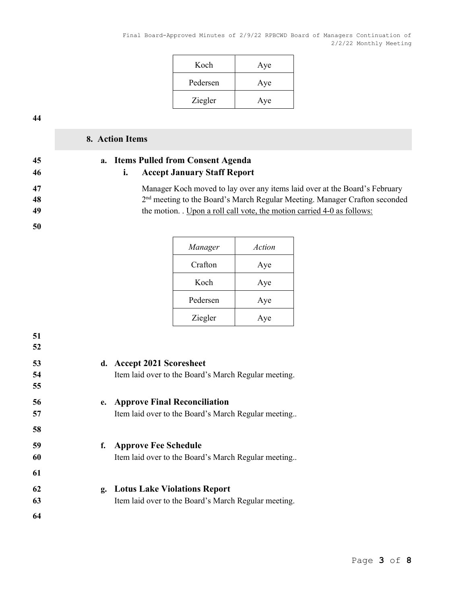| Koch     | Aye |
|----------|-----|
| Pedersen | Aye |
| Ziegler  | Aye |

# 8. Action Items

50

## 45 a. Items Pulled from Consent Agenda 46 i. Accept January Staff Report

47 Manager Koch moved to lay over any items laid over at the Board's February 48 2<sup>nd</sup> meeting to the Board's March Regular Meeting. Manager Crafton seconded 49 the motion. . Upon a roll call vote, the motion carried 4-0 as follows:

| Manager  | Action |
|----------|--------|
| Crafton  | Aye    |
| Koch     | Aye    |
| Pedersen | Aye    |
| Ziegler  | Aye    |

| 53<br>54<br>55 | d. Accept 2021 Scoresheet<br>Item laid over to the Board's March Regular meeting.       |
|----------------|-----------------------------------------------------------------------------------------|
| 56<br>57<br>58 | e. Approve Final Reconciliation<br>Item laid over to the Board's March Regular meeting  |
| 59<br>60<br>61 | f. Approve Fee Schedule<br>Item laid over to the Board's March Regular meeting          |
| 62<br>63<br>64 | g. Lotus Lake Violations Report<br>Item laid over to the Board's March Regular meeting. |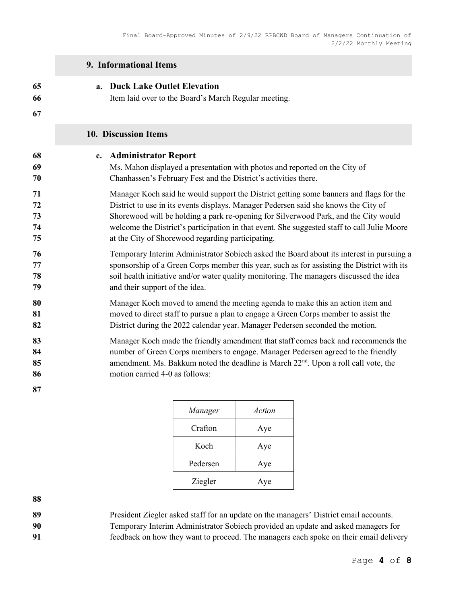|                            | 9. Informational Items                                                                                                                                                                                                                                                                                     |  |  |
|----------------------------|------------------------------------------------------------------------------------------------------------------------------------------------------------------------------------------------------------------------------------------------------------------------------------------------------------|--|--|
| 65                         | <b>Duck Lake Outlet Elevation</b>                                                                                                                                                                                                                                                                          |  |  |
| 66                         | a.                                                                                                                                                                                                                                                                                                         |  |  |
| 67                         | Item laid over to the Board's March Regular meeting.                                                                                                                                                                                                                                                       |  |  |
|                            | 10. Discussion Items                                                                                                                                                                                                                                                                                       |  |  |
| 68                         | c. Administrator Report                                                                                                                                                                                                                                                                                    |  |  |
| 69                         | Ms. Mahon displayed a presentation with photos and reported on the City of                                                                                                                                                                                                                                 |  |  |
| 70                         | Chanhassen's February Fest and the District's activities there.                                                                                                                                                                                                                                            |  |  |
| 71                         | Manager Koch said he would support the District getting some banners and flags for the                                                                                                                                                                                                                     |  |  |
| 72                         | District to use in its events displays. Manager Pedersen said she knows the City of                                                                                                                                                                                                                        |  |  |
| 73                         | Shorewood will be holding a park re-opening for Silverwood Park, and the City would                                                                                                                                                                                                                        |  |  |
| 74                         | welcome the District's participation in that event. She suggested staff to call Julie Moore                                                                                                                                                                                                                |  |  |
| 75                         | at the City of Shorewood regarding participating.                                                                                                                                                                                                                                                          |  |  |
| 76                         | Temporary Interim Administrator Sobiech asked the Board about its interest in pursuing a                                                                                                                                                                                                                   |  |  |
| 77                         | sponsorship of a Green Corps member this year, such as for assisting the District with its                                                                                                                                                                                                                 |  |  |
| 78                         | soil health initiative and/or water quality monitoring. The managers discussed the idea                                                                                                                                                                                                                    |  |  |
| 79                         | and their support of the idea.                                                                                                                                                                                                                                                                             |  |  |
| 80                         | Manager Koch moved to amend the meeting agenda to make this an action item and                                                                                                                                                                                                                             |  |  |
| 81                         | moved to direct staff to pursue a plan to engage a Green Corps member to assist the                                                                                                                                                                                                                        |  |  |
| 82                         | District during the 2022 calendar year. Manager Pedersen seconded the motion.                                                                                                                                                                                                                              |  |  |
| 83<br>84<br>85<br>86<br>87 | Manager Koch made the friendly amendment that staff comes back and recommends the<br>number of Green Corps members to engage. Manager Pedersen agreed to the friendly<br>amendment. Ms. Bakkum noted the deadline is March 22 <sup>nd</sup> . Upon a roll call vote, the<br>motion carried 4-0 as follows: |  |  |

| Manager  | Action |
|----------|--------|
| Crafton  | Aye    |
| Koch     | Aye    |
| Pedersen | Aye    |
| Ziegler  | Aye    |

89 President Ziegler asked staff for an update on the managers' District email accounts.

Temporary Interim Administrator Sobiech provided an update and asked managers for feedback on how they want to proceed. The managers each spoke on their email delivery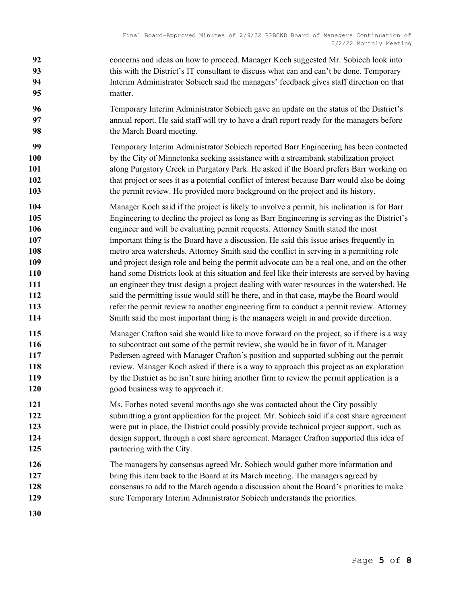- concerns and ideas on how to proceed. Manager Koch suggested Mr. Sobiech look into 93 this with the District's IT consultant to discuss what can and can't be done. Temporary Interim Administrator Sobiech said the managers' feedback gives staff direction on that matter.
- Temporary Interim Administrator Sobiech gave an update on the status of the District's annual report. He said staff will try to have a draft report ready for the managers before the March Board meeting.
- Temporary Interim Administrator Sobiech reported Barr Engineering has been contacted by the City of Minnetonka seeking assistance with a streambank stabilization project along Purgatory Creek in Purgatory Park. He asked if the Board prefers Barr working on 102 that project or sees it as a potential conflict of interest because Barr would also be doing the permit review. He provided more background on the project and its history.
- Manager Koch said if the project is likely to involve a permit, his inclination is for Barr Engineering to decline the project as long as Barr Engineering is serving as the District's engineer and will be evaluating permit requests. Attorney Smith stated the most important thing is the Board have a discussion. He said this issue arises frequently in
- metro area watersheds. Attorney Smith said the conflict in serving in a permitting role and project design role and being the permit advocate can be a real one, and on the other hand some Districts look at this situation and feel like their interests are served by having an engineer they trust design a project dealing with water resources in the watershed. He said the permitting issue would still be there, and in that case, maybe the Board would refer the permit review to another engineering firm to conduct a permit review. Attorney
- Smith said the most important thing is the managers weigh in and provide direction.
- 115 Manager Crafton said she would like to move forward on the project, so if there is a way to subcontract out some of the permit review, she would be in favor of it. Manager Pedersen agreed with Manager Crafton's position and supported subbing out the permit review. Manager Koch asked if there is a way to approach this project as an exploration 119 by the District as he isn't sure hiring another firm to review the permit application is a 120 good business way to approach it.
- Ms. Forbes noted several months ago she was contacted about the City possibly 122 submitting a grant application for the project. Mr. Sobiech said if a cost share agreement 123 were put in place, the District could possibly provide technical project support, such as design support, through a cost share agreement. Manager Crafton supported this idea of **partnering with the City**.
- The managers by consensus agreed Mr. Sobiech would gather more information and 127 bring this item back to the Board at its March meeting. The managers agreed by consensus to add to the March agenda a discussion about the Board's priorities to make sure Temporary Interim Administrator Sobiech understands the priorities.
-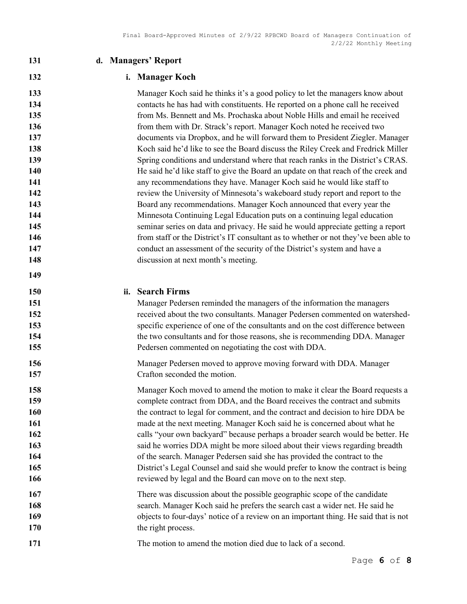| 131                                                                                                          | d. Managers' Report                                                                                                                                                                                                                                                                                                                                                                                                                                                                                                                                                                                                                                                                                                                                                                                                                                                                                                                                                                                                                                                                                                                                                                                                                                                                     |  |
|--------------------------------------------------------------------------------------------------------------|-----------------------------------------------------------------------------------------------------------------------------------------------------------------------------------------------------------------------------------------------------------------------------------------------------------------------------------------------------------------------------------------------------------------------------------------------------------------------------------------------------------------------------------------------------------------------------------------------------------------------------------------------------------------------------------------------------------------------------------------------------------------------------------------------------------------------------------------------------------------------------------------------------------------------------------------------------------------------------------------------------------------------------------------------------------------------------------------------------------------------------------------------------------------------------------------------------------------------------------------------------------------------------------------|--|
| 132                                                                                                          | i. Manager Koch                                                                                                                                                                                                                                                                                                                                                                                                                                                                                                                                                                                                                                                                                                                                                                                                                                                                                                                                                                                                                                                                                                                                                                                                                                                                         |  |
| 133<br>134<br>135<br>136<br>137<br>138<br>139<br>140<br>141<br>142<br>143<br>144<br>145<br>146<br>147<br>148 | Manager Koch said he thinks it's a good policy to let the managers know about<br>contacts he has had with constituents. He reported on a phone call he received<br>from Ms. Bennett and Ms. Prochaska about Noble Hills and email he received<br>from them with Dr. Strack's report. Manager Koch noted he received two<br>documents via Dropbox, and he will forward them to President Ziegler. Manager<br>Koch said he'd like to see the Board discuss the Riley Creek and Fredrick Miller<br>Spring conditions and understand where that reach ranks in the District's CRAS.<br>He said he'd like staff to give the Board an update on that reach of the creek and<br>any recommendations they have. Manager Koch said he would like staff to<br>review the University of Minnesota's wakeboard study report and report to the<br>Board any recommendations. Manager Koch announced that every year the<br>Minnesota Continuing Legal Education puts on a continuing legal education<br>seminar series on data and privacy. He said he would appreciate getting a report<br>from staff or the District's IT consultant as to whether or not they've been able to<br>conduct an assessment of the security of the District's system and have a<br>discussion at next month's meeting. |  |
| 149<br>150<br>151<br>152<br>153<br>154<br>155                                                                | ii. Search Firms<br>Manager Pedersen reminded the managers of the information the managers<br>received about the two consultants. Manager Pedersen commented on watershed-<br>specific experience of one of the consultants and on the cost difference between<br>the two consultants and for those reasons, she is recommending DDA. Manager<br>Pedersen commented on negotiating the cost with DDA.                                                                                                                                                                                                                                                                                                                                                                                                                                                                                                                                                                                                                                                                                                                                                                                                                                                                                   |  |
| 156<br>157                                                                                                   | Manager Pedersen moved to approve moving forward with DDA. Manager<br>Crafton seconded the motion.                                                                                                                                                                                                                                                                                                                                                                                                                                                                                                                                                                                                                                                                                                                                                                                                                                                                                                                                                                                                                                                                                                                                                                                      |  |
| 158<br>159<br>160<br>161<br>162<br>163<br>164<br>165<br>166                                                  | Manager Koch moved to amend the motion to make it clear the Board requests a<br>complete contract from DDA, and the Board receives the contract and submits<br>the contract to legal for comment, and the contract and decision to hire DDA be<br>made at the next meeting. Manager Koch said he is concerned about what he<br>calls "your own backyard" because perhaps a broader search would be better. He<br>said he worries DDA might be more siloed about their views regarding breadth<br>of the search. Manager Pedersen said she has provided the contract to the<br>District's Legal Counsel and said she would prefer to know the contract is being<br>reviewed by legal and the Board can move on to the next step.                                                                                                                                                                                                                                                                                                                                                                                                                                                                                                                                                         |  |
| 167<br>168<br>169<br><b>170</b>                                                                              | There was discussion about the possible geographic scope of the candidate<br>search. Manager Koch said he prefers the search cast a wider net. He said he<br>objects to four-days' notice of a review on an important thing. He said that is not<br>the right process.                                                                                                                                                                                                                                                                                                                                                                                                                                                                                                                                                                                                                                                                                                                                                                                                                                                                                                                                                                                                                  |  |
| 171                                                                                                          | The motion to amend the motion died due to lack of a second.                                                                                                                                                                                                                                                                                                                                                                                                                                                                                                                                                                                                                                                                                                                                                                                                                                                                                                                                                                                                                                                                                                                                                                                                                            |  |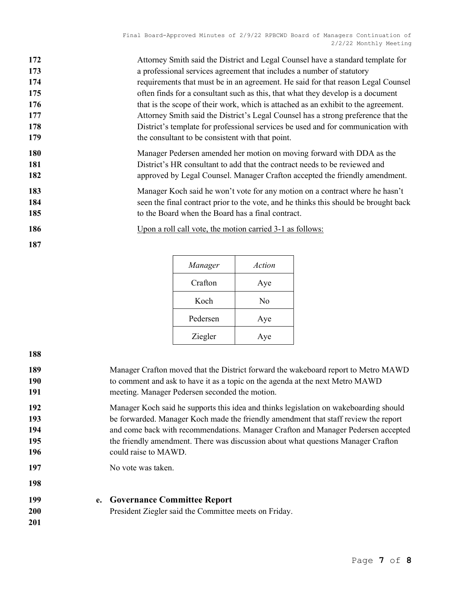| 172 | Attorney Smith said the District and Legal Counsel have a standard template for      |
|-----|--------------------------------------------------------------------------------------|
| 173 | a professional services agreement that includes a number of statutory                |
| 174 | requirements that must be in an agreement. He said for that reason Legal Counsel     |
| 175 | often finds for a consultant such as this, that what they develop is a document      |
| 176 | that is the scope of their work, which is attached as an exhibit to the agreement.   |
| 177 | Attorney Smith said the District's Legal Counsel has a strong preference that the    |
| 178 | District's template for professional services be used and for communication with     |
| 179 | the consultant to be consistent with that point.                                     |
| 180 | Manager Pedersen amended her motion on moving forward with DDA as the                |
| 181 | District's HR consultant to add that the contract needs to be reviewed and           |
| 182 | approved by Legal Counsel. Manager Crafton accepted the friendly amendment.          |
| 183 | Manager Koch said he won't vote for any motion on a contract where he hasn't         |
| 184 | seen the final contract prior to the vote, and he thinks this should be brought back |
| 185 | to the Board when the Board has a final contract.                                    |
| 186 | Upon a roll call vote, the motion carried 3-1 as follows:                            |
| 187 |                                                                                      |

| Manager  | Action |
|----------|--------|
| Crafton  | Aye    |
| Koch     | No     |
| Pedersen | Aye    |
| Ziegler  | Aye    |

| Manager Crafton moved that the District forward the wakeboard report to Metro MAWD<br>to comment and ask to have it as a topic on the agenda at the next Metro MAWD<br>meeting. Manager Pedersen seconded the motion.                                                                                                                                                          |
|--------------------------------------------------------------------------------------------------------------------------------------------------------------------------------------------------------------------------------------------------------------------------------------------------------------------------------------------------------------------------------|
| Manager Koch said he supports this idea and thinks legislation on wakeboarding should<br>be forwarded. Manager Koch made the friendly amendment that staff review the report<br>and come back with recommendations. Manager Crafton and Manager Pedersen accepted<br>the friendly amendment. There was discussion about what questions Manager Crafton<br>could raise to MAWD. |
| No vote was taken.                                                                                                                                                                                                                                                                                                                                                             |
| e. Governance Committee Report<br>President Ziegler said the Committee meets on Friday.                                                                                                                                                                                                                                                                                        |
|                                                                                                                                                                                                                                                                                                                                                                                |